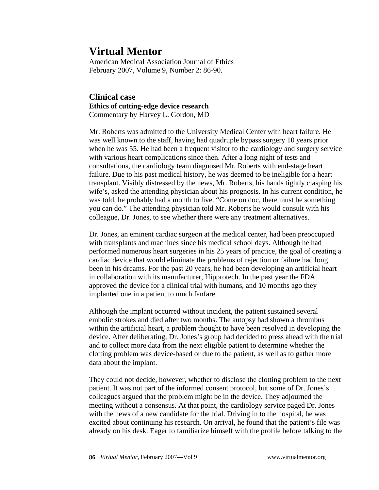**Virtual Mentor**<br>American Medical Association Journal of Ethics February 2007, Volume 9, Number 2: 86-90.

# **Clinical case Ethics of cutting-edge device research** Commentary by Harvey L. Gordon, MD

Mr. Roberts was admitted to the University Medical Center with heart failure. He was well known to the staff, having had quadruple bypass surgery 10 years prior when he was 55. He had been a frequent visitor to the cardiology and surgery service with various heart complications since then. After a long night of tests and consultations, the cardiology team diagnosed Mr. Roberts with end-stage heart failure. Due to his past medical history, he was deemed to be ineligible for a heart transplant. Visibly distressed by the news, Mr. Roberts, his hands tightly clasping his wife's, asked the attending physician about his prognosis. In his current condition, he was told, he probably had a month to live. "Come on doc, there must be something you can do." The attending physician told Mr. Roberts he would consult with his colleague, Dr. Jones, to see whether there were any treatment alternatives.

Dr. Jones, an eminent cardiac surgeon at the medical center, had been preoccupied with transplants and machines since his medical school days. Although he had performed numerous heart surgeries in his 25 years of practice, the goal of creating a cardiac device that would eliminate the problems of rejection or failure had long been in his dreams. For the past 20 years, he had been developing an artificial heart in collaboration with its manufacturer, Hipprotech. In the past year the FDA approved the device for a clinical trial with humans, and 10 months ago they implanted one in a patient to much fanfare.

Although the implant occurred without incident, the patient sustained several embolic strokes and died after two months. The autopsy had shown a thrombus within the artificial heart, a problem thought to have been resolved in developing the device. After deliberating, Dr. Jones's group had decided to press ahead with the trial and to collect more data from the next eligible patient to determine whether the clotting problem was device-based or due to the patient, as well as to gather more data about the implant.

They could not decide, however, whether to disclose the clotting problem to the next patient. It was not part of the informed consent protocol, but some of Dr. Jones's colleagues argued that the problem might be in the device. They adjourned the meeting without a consensus. At that point, the cardiology service paged Dr. Jones with the news of a new candidate for the trial. Driving in to the hospital, he was excited about continuing his research. On arrival, he found that the patient's file was already on his desk. Eager to familiarize himself with the profile before talking to the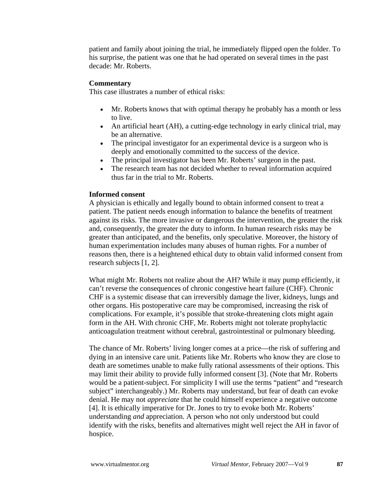patient and family about joining the trial, he immediately flipped open the folder. To his surprise, the patient was one that he had operated on several times in the past decade: Mr. Roberts.

#### **Commentary**

This case illustrates a number of ethical risks:

- Mr. Roberts knows that with optimal therapy he probably has a month or less to live.
- An artificial heart (AH), a cutting-edge technology in early clinical trial, may be an alternative.
- The principal investigator for an experimental device is a surgeon who is deeply and emotionally committed to the success of the device.
- The principal investigator has been Mr. Roberts' surgeon in the past.
- The research team has not decided whether to reveal information acquired thus far in the trial to Mr. Roberts.

#### **Informed consent**

A physician is ethically and legally bound to obtain informed consent to treat a patient. The patient needs enough information to balance the benefits of treatment against its risks. The more invasive or dangerous the intervention, the greater the risk and, consequently, the greater the duty to inform. In human research risks may be greater than anticipated, and the benefits, only speculative. Moreover, the history of human experimentation includes many abuses of human rights. For a number of reasons then, there is a heightened ethical duty to obtain valid informed consent from research subjects [1, 2].

What might Mr. Roberts not realize about the AH? While it may pump efficiently, it can't reverse the consequences of chronic congestive heart failure (CHF). Chronic CHF is a systemic disease that can irreversibly damage the liver, kidneys, lungs and other organs. His postoperative care may be compromised, increasing the risk of complications. For example, it's possible that stroke-threatening clots might again form in the AH. With chronic CHF, Mr. Roberts might not tolerate prophylactic anticoagulation treatment without cerebral, gastrointestinal or pulmonary bleeding.

The chance of Mr. Roberts' living longer comes at a price—the risk of suffering and dying in an intensive care unit. Patients like Mr. Roberts who know they are close to death are sometimes unable to make fully rational assessments of their options. This may limit their ability to provide fully informed consent [3]. (Note that Mr. Roberts would be a patient-subject. For simplicity I will use the terms "patient" and "research subject" interchangeably.) Mr. Roberts may understand, but fear of death can evoke denial. He may not *appreciate* that he could himself experience a negative outcome [4]. It is ethically imperative for Dr. Jones to try to evoke both Mr. Roberts' understanding *and* appreciation. A person who not only understood but could identify with the risks, benefits and alternatives might well reject the AH in favor of hospice.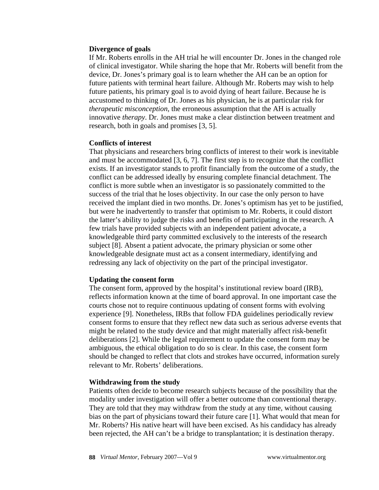### **Divergence of goals**

If Mr. Roberts enrolls in the AH trial he will encounter Dr. Jones in the changed role of clinical investigator. While sharing the hope that Mr. Roberts will benefit from the device, Dr. Jones's primary goal is to learn whether the AH can be an option for future patients with terminal heart failure. Although Mr. Roberts may wish to help future patients, his primary goal is to avoid dying of heart failure. Because he is accustomed to thinking of Dr. Jones as his physician, he is at particular risk for *therapeutic misconception,* the erroneous assumption that the AH is actually innovative *therapy*. Dr. Jones must make a clear distinction between treatment and research, both in goals and promises [3, 5].

## **Conflicts of interest**

That physicians and researchers bring conflicts of interest to their work is inevitable and must be accommodated [3, 6, 7]. The first step is to recognize that the conflict exists. If an investigator stands to profit financially from the outcome of a study, the conflict can be addressed ideally by ensuring complete financial detachment. The conflict is more subtle when an investigator is so passionately committed to the success of the trial that he loses objectivity. In our case the only person to have received the implant died in two months. Dr. Jones's optimism has yet to be justified, but were he inadvertently to transfer that optimism to Mr. Roberts, it could distort the latter's ability to judge the risks and benefits of participating in the research. A few trials have provided subjects with an independent patient advocate, a knowledgeable third party committed exclusively to the interests of the research subject [8]. Absent a patient advocate, the primary physician or some other knowledgeable designate must act as a consent intermediary, identifying and redressing any lack of objectivity on the part of the principal investigator.

## **Updating the consent form**

The consent form, approved by the hospital's institutional review board (IRB), reflects information known at the time of board approval. In one important case the courts chose not to require continuous updating of consent forms with evolving experience [9]. Nonetheless, IRBs that follow FDA guidelines periodically review consent forms to ensure that they reflect new data such as serious adverse events that might be related to the study device and that might materially affect risk-benefit deliberations [2]. While the legal requirement to update the consent form may be ambiguous, the ethical obligation to do so is clear. In this case, the consent form should be changed to reflect that clots and strokes have occurred, information surely relevant to Mr. Roberts' deliberations.

## **Withdrawing from the study**

Patients often decide to become research subjects because of the possibility that the modality under investigation will offer a better outcome than conventional therapy. They are told that they may withdraw from the study at any time, without causing bias on the part of physicians toward their future care [1]. What would that mean for Mr. Roberts? His native heart will have been excised. As his candidacy has already been rejected, the AH can't be a bridge to transplantation; it is destination therapy.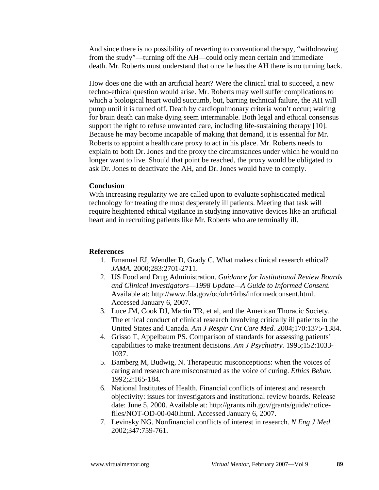And since there is no possibility of reverting to conventional therapy, "withdrawing from the study"—turning off the AH—could only mean certain and immediate death. Mr. Roberts must understand that once he has the AH there is no turning back.

How does one die with an artificial heart? Were the clinical trial to succeed, a new techno-ethical question would arise. Mr. Roberts may well suffer complications to which a biological heart would succumb, but, barring technical failure, the AH will pump until it is turned off. Death by cardiopulmonary criteria won't occur; waiting for brain death can make dying seem interminable. Both legal and ethical consensus support the right to refuse unwanted care, including life-sustaining therapy [10]. Because he may become incapable of making that demand, it is essential for Mr. Roberts to appoint a health care proxy to act in his place. Mr. Roberts needs to explain to both Dr. Jones and the proxy the circumstances under which he would no longer want to live. Should that point be reached, the proxy would be obligated to ask Dr. Jones to deactivate the AH, and Dr. Jones would have to comply.

### **Conclusion**

With increasing regularity we are called upon to evaluate sophisticated medical technology for treating the most desperately ill patients. Meeting that task will require heightened ethical vigilance in studying innovative devices like an artificial heart and in recruiting patients like Mr. Roberts who are terminally ill.

## **References**

- 1. Emanuel EJ, Wendler D, Grady C. What makes clinical research ethical? *JAMA.* 2000;283:2701-2711.
- 2. US Food and Drug Administration. *Guidance for Institutional Review Boards and Clinical Investigators—1998 Update—A Guide to Informed Consent.* Available at: http://www.fda.gov/oc/ohrt/irbs/informedconsent.html. Accessed January 6, 2007.
- 3. Luce JM, Cook DJ, Martin TR, et al, and the American Thoracic Society. The ethical conduct of clinical research involving critically ill patients in the United States and Canada. *Am J Respir Crit Care Med.* 2004;170:1375-1384.
- 4. Grisso T, Appelbaum PS. Comparison of standards for assessing patients' capabilities to make treatment decisions. *Am J Psychiatry.* 1995;152:1033- 1037.
- 5. Bamberg M, Budwig, N. Therapeutic misconceptions: when the voices of caring and research are misconstrued as the voice of curing. *Ethics Behav.* 1992;2:165-184.
- 6. National Institutes of Health. Financial conflicts of interest and research objectivity: issues for investigators and institutional review boards. Release date: June 5, 2000. Available at: http://grants.nih.gov/grants/guide/noticefiles/NOT-OD-00-040.html. Accessed January 6, 2007.
- 7. Levinsky NG. Nonfinancial conflicts of interest in research. *N Eng J Med.* 2002;347:759-761.